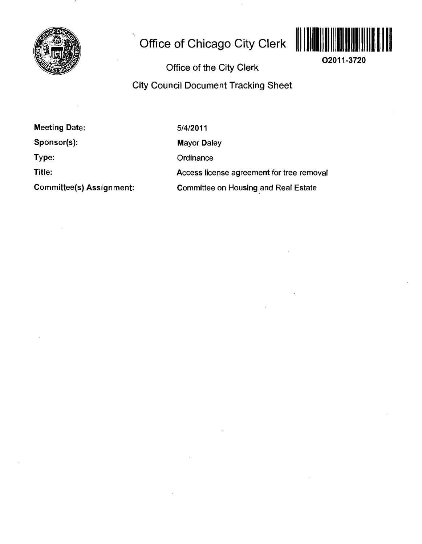

# **Office of Chicago City Clerk**



**02011-3720** 

**Office of the City Clerk** 

**City Council Document Tracking Sheet** 

**Meeting Date: Sponsor(s): Type:** 

**Title:** 

**Committee(s) Assignment:** 

5/4/2011

Mayor Daley

**Ordinance** 

Access license agreement for tree removal

Committee on Housing and Real Estate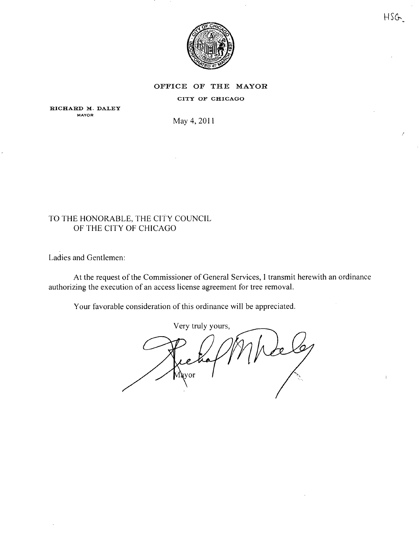

 $HSG$ 

### **OFFICE OF THE MAYOR**

#### CITY OF CHICAGO

**RICHARD M. DALEY MAYOR** 

May 4, 201

### TO THE HONORABLE, THE CITY COUNCIL OF THE CITY OF CHICAGO

Ladies and Gentlemen:

At the request of the Commissioner of General Services, 1 transmit herewith an ordinance authorizing the execution of an access license agreement for tree removal.

Your favorable consideration of this ordinance will be appreciated.

Very truly yours. Mavor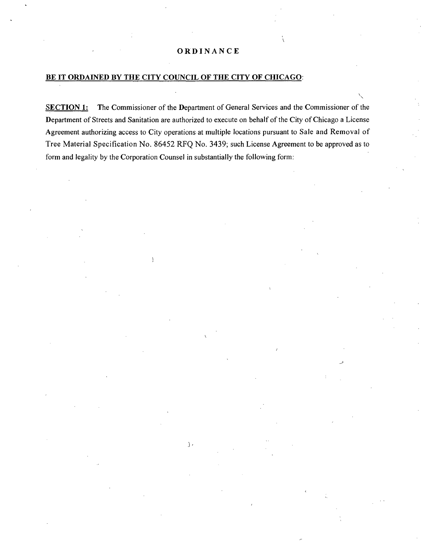#### BE IT ORDAINED BY THE CITY COUNCIL OF THE CITY OF CHICAGO:

SECTION 1: The Commissioner of the Department of General Services and the Commissioner of the Department of Streets and Sanitation are authorized to execute on behalf of the City of Chicago a License Agreement authorizing access to City operations at multiple locations pursuant to Sale and Removal of Tree Material Specification No. 86452 RFQ No. 3439; such License Agreement to be approved as to form and legality by the Corporation Counsel in substantially the following form;

 $\cdot$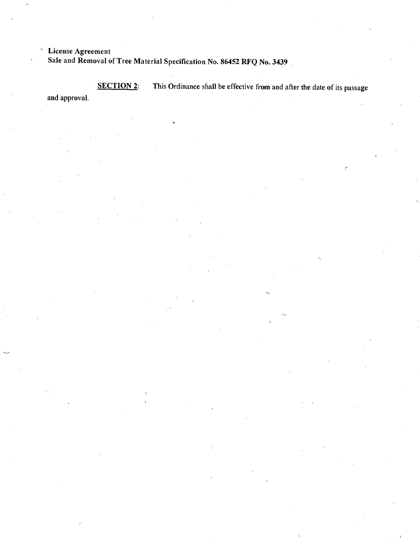**License Agreement Sale and Removal of Tree Material Specification No. 86452 RFQ No. 3439** 

SECTION 2: This Ordinance shall be effective from and after the date of its passage and approval.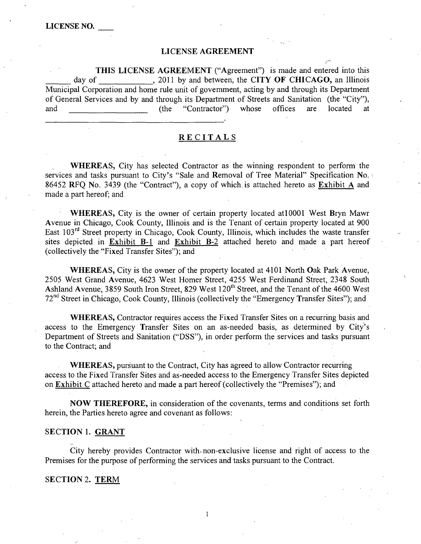#### **LICENSE AGREEMENT**

THIS LICENSE AGREEMENT ("Agreement") is made and entered into this day of , 2011 by and between, the CITY OF CHICAGO, an Illinois Municipal Corporation and home rule unit of govemment, acting by and through its Department of General Services and by and through its Department of Streets and Sanitation (the "City"), and (the "Contractor") whose offices are located at

#### **RECITAL S**

WHEREAS, City has selected Contractor as the winning respondent to perform the services and tasks pursuant to City's "Sale and Removal of Tree Material" Specification No. 86452 RFQ No. 3439 (the "Contract"), a copy of which, is attached hereto as Exhibit A and made a part hereof; and

WHEREAS, City is the owner of certain property located at 10001 West Bryn Mawr Avenue in Chicago, Cook County, Illinois and is the Tenant of certain property located at 900 East  $103^{rd}$  Street property in Chicago, Cook County, Illinois, which includes the waste transfer sites depicted in Exhibit B-1 and Exhibit B-2 attached hereto and made a part hereof (collectively the "Fixed Transfer Sites"); and

WHEREAS, City is the owner of the property located at 4101 North Oak Park Avenue, 2505 West Grand Avenue, 4623 West Homer Street, 4255 West Ferdinand Street, 2348 South Ashland Avenue, 3859 South Iron Street, 829 West 120<sup>th</sup> Street, and the Tenant of the 4600 West  $72<sup>nd</sup>$  Street in Chicago, Cook County, Illinois (collectively the "Emergency Transfer Sites"); and

WHEREAS, Contractor requires access the Fixed Transfer Sites on a recurring basis and access to the Emergency Transfer Sites on an as-needed basis, as determined by City's Department of Streets and Sanitation ("DSS"), in order perform the services and tasks pursuant to the Contract; and

WHEREAS, pursuant to the Contract, City has agreed to allow Contractor recurring access to the Fixed Transfer Sites and as-needed access to the Emergency Transfer Sites depicted on Exhibit C attached hereto and made a part hereof (collectively the "Premises"); and

NOW THEREFORE, in consideration of the covenants, terms and conditions set forth herein, the Parties hereto agree and covenant as follows:

#### **SECTION 1. GRANT**

City hereby provides Contractor with-non-exclusive license and right of access to the Premises for the purpose of performing the services and tasks pursuant to the Contract.

 $\mathbf{1}$ 

#### **SECTION 2. TERM**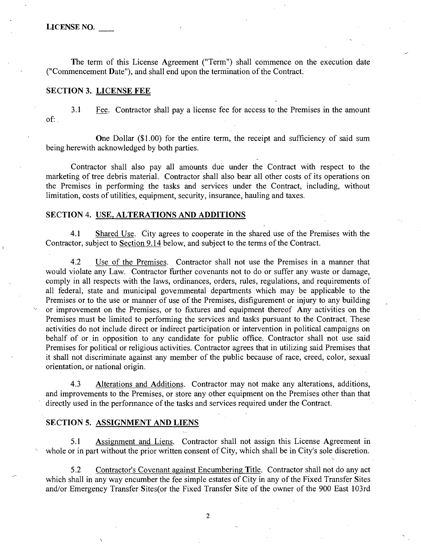The term of this License Agreement ("Term") shall commence on the execution date ("Commencement Date"), and shall end upon the termination of the Contract.

#### **SECTION 3. LICENSE FEE**

3.1 Fee. Contractor shall pay a license fee for access to the Premises in the amount of;.

One Dollar (\$1.00) for the entire term, the receipt and sufficiency of said sum being herewith acknowledged by both parties.

Contractor shall also pay all amounts due under the Contract with respect to the marketing of tree debris material. Contractor shall also bear all other costs of its operations on the Premises in performing the tasks and services under the Contract, including, without limitation, costs of utilities, equipment, security, insurance, hauling and taxes.

#### **SECTION 4. USE, ALTERATIONS AND ADDITIONS**

4.1 Shared Use. City agrees to cooperate in the shared use of the Premises with the Contractor, subject to Section 9.14 below, and subject to the terms of the Contract.

4.2 Use of the Premises. Contractor shall not use the Premises in a manner that would violate any Law. Contractor fiarther covenants not to do or suffer any waste or damage, comply in all respects with the laws, ordinances, orders, rules, regulations, and requirements of all federal, state and municipal govemmental departments which may be applicable to the Premises or to the use or manner of use of the Premises, disfigurement or injury to any building or improvement on the Premises, or to fixtures and equipment thereof Any activities on the Premises must be limited to performing the services and tasks pursuant to the Contract. These activities do not include direct or indirect participation or intervention in political campaigns on behalf of or in opposition to any candidate for public office. Contractor shall not use said Premises for political or religious activities. Contractor agrees that in utilizing said Premises that it shall not discriminate against any member of the public because of race, creed, color, sexual orientation, or national origin.

4.3 Alterations and Additions. Contractor may not make any alterations, additions, and improvements to the Premises, or store any other equipment on the Premises other than that directly used in the perfonnance of the tasks and services required under the Contract.

#### **SECTION 5. ASSIGNMENT AND LIENS**

5.1 Assignment and Liens. Contractor shall not assign this License Agreement in whole or in part without the prior written consent of City, which shall be in City's sole discretion.

5.2 Contractor's Covenant against Encumbering Title. Contractor shall not do any act which shall in any way encumber the fee simple estates of City in any of the Fixed Transfer Sites and/or Emergency Transfer Sites(or the Fixed Transfer Site of the owner of the 900 East 103rd

 $\overline{2}$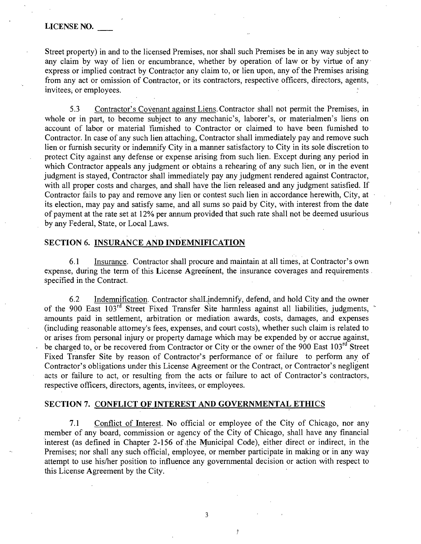Street property) in and to the licensed Premises, nor shall such Premises be in any way subject to any claim by way of lien or encumbrance, whether by operation of law or by virtue of any express or implied contract by Contractor any claim to, or lien upon, any of the Premises arising from any act or omission of Contractor, or its contractors, respective officers, directors, agents, invitees, or employees.

5.3 Contractor's Covenant against Liens. Contractor shall not permit the Premises, in whole or in part, to become subject to any mechanic's, laborer's, or materialmen's liens on account of labor or material fiimished to Contractor or claimed to have been fumished to Contractor. In case of any such lien attaching. Contractor shall immediately pay and remove such lien or furnish security or indemnify City in a manner satisfactory to City in its sole discretion to protect City against any defense or expense arising from such lien. Except during any period in which Contractor appeals any judgment or obtains a rehearing of any such lien, or in the event judgment is stayed. Contractor shall immediately pay any judgment rendered against Contractor, with all proper costs and charges, and shall have the lien released and any judgment satisfied. If Contractor fails to pay and remove any lien or contest such lien in accordance herewith. City, at its election, may pay and satisfy same, and all sums so paid by City, with interest from the date of payment at the rate set at 12% per annum provided that such rate shall not be deemed usurious by any Federal, State, or Local Laws.

#### **SECTION 6. INSURANCE AND INDEMNIFICATION**

6.1 Insurance. Contractor shall procure and maintain at all times, at Contractor's own expense, during the term of this License Agreeinent, the insurance coverages and requirements specified in the Contract.

6.2 Indemnification. Contractor shalLindemnify, defend, and hold City and the owner of the 900 East 103<sup>rd</sup> Street Fixed Transfer Site harmless against all liabilities, judgments, amounts paid in settlement, arbitration or mediation awards, costs, damages, and expenses (including reasonable attomey's fees, expenses, and court costs), whether such claim is related to or arises from personal injury or property damage which may be expended by or accrue against, be charged to, or be recovered from Contractor or City or the owner of the 900 East 103<sup>rd</sup> Street Fixed Transfer Site by reason of Contractor's performance of or failure to perform any of Contractor's obligations under this License Agreement or the Contract, or Contractor's negligent acts or failure to act, or resulting from the acts or failure to act of Contractor's contractors, respective officers, directors, agents, invitees, or employees.

### **SECTION 7. CONFLICT OF INTEREST AND GOVERNMENTAL ETHICS**

7.1 Conflict of Interest. No official or employee of the City of Chicago, nor any member of any board, commission or agency of the City of Chicago, shall have any financial interest (as defined in Chapter 2-156 of the Municipal Code), either direct or indirect, in the Premises; nor shall any such official, employee, or member participate in making or in any way attempt to use his/her position to influence any governmental decision or action with respect to this License Agreement by the City.

 $\overline{3}$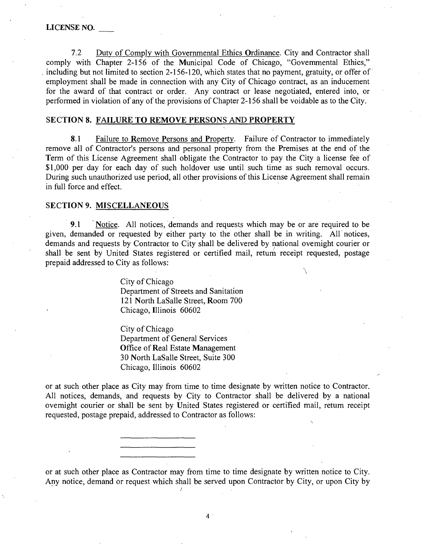7.2 Dutv of Comply with Governmental Ethics Ordinance. City and Contractor shall comply with Chapter 2-156 of the Municipal Code of Chicago, "Govemmental Ethics," including but not limited to section 2-156-120, which states that no payment, gratuity, or offer of employment shall be made in connection with any City of Chicago contract, as an inducement for the award of that contract or order. Any contract or lease negotiated, entered into, or performed in violation of any of the provisions of Chapter 2-156 shall be voidable as to the City.

#### **SECTION 8. FAILURE TQ REMOVE PERSONS AND PROPERTY**

8.1 Failure to Remove Persons and Property. Failure of Contractor to immediately remove all of Contractor's persons and personal property from the Premises at the end of the Term of this License Agreement shall obligate the Contractor to pay the City a license fee of \$1,000 per day for each day of such holdover use until such time as such removal occurs. During such unauthorized use period, all other provisions of this License Agreement shall remain in full force and effect.

#### **SECTION 9. MISCELLANEOUS**

9.1 Notice. All notices, demands and requests which may be or are required to be given, demanded or requested by either party to the other shall be in writing. All notices, demands and requests by Contractor to City shall be delivered by national ovemight courier or shall be sent by United States registered or certified mail, retum receipt requested, postage prepaid addressed to City as follows:

 $\bigl/$ 

City of Chicago Department of Streets and Sanitation 121 North LaSalle Street, Room 700 Chicago, Illinois 60602

City of Chicago Department of General Services Office of Real Estate Management 30 North LaSalle Street, Suite 300 Chicago, Illinois 60602

or at such other place as City may from time to time designate by written notice to Contractor. All notices, demands, and requests by City to Contractor shall be delivered by a national ovemight courier or shall be sent by United States registered or certified mail, retum receipt requested, postage prepaid, addressed to Contractor as follows:

or at such other place as Contractor may from time to time designate by written notice to City. Any notice, demand or request which shall be served upon Contractor by City, or upon City by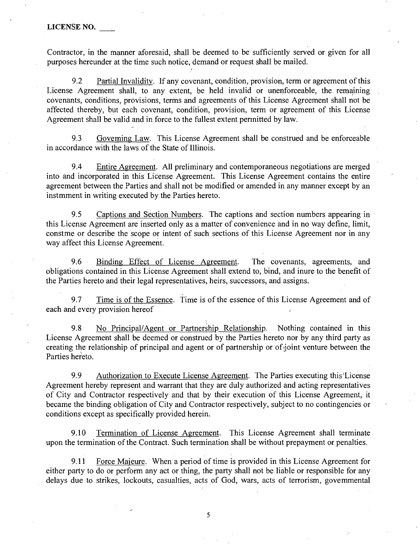Contractor, in the manner aforesaid, shall be deemed to be sufficiently served or given for all purposes hereunder at the time such notice, demand or request shall be mailed.

9.2 Partial Invalidity. If any covenant, condition, provision, term or agreement of this License Agreement shall, to any extent, be held invalid or unenforceable, the remaining covenants, conditions, provisions, terms and agreements of this License Agreement shall not be affected thereby, but each covenant, condition, provision, term or agreement of this License Agreement shall be valid and in force to the fullest extent pennitted by law.

9.3 Goveming Law. This License Agreement shall be construed and be enforceable in accordance with the laws of the State of Illinois.

9.4 Entire Agreement. All preliminary and contemporaneous negotiations are merged into and incorporated in this License Agreement. This License Agreement contains the entire agreement between the Parties and shall not be modified or amended in any manner except by an instmment in writing executed by the Parties hereto.

9.5 Captions and Section Numbers. The captions and section numbers appearing in this License Agreement are inserted only as a matter of convenience and in no way define, limit, constme or describe the scope or intent of such sections of this License Agreement nor in any way affect this License Agreement.

9.6 Binding Effect of License Agreement. The covenants, agreements, and obligations contained in this License Agreement shall extend to, bind, and inure to the benefit of the Parties hereto and their legal representatives, heirs, successors, and assigns.

9.7 Time is of the Essence. Time is of the essence of this License Agreement and of each and every provision hereof

9.8 No Principal/Agent or Partnership Relationship. Nothing contained in this License Agreement shall be deemed or construed by the Parties hereto nor by any third party as creating the relationship of principal and agent or of partnership or of joint venture between the Parties hereto.

9.9 Authorization to Execute License Agreement. The Parties executing this License Agreement hereby represent and warrant that they are duly authorized and acting representatives of City and Contractor respectively and that by their execution of this License Agreement, it became the binding obligation of City and Contractor respectively, subject to no contingencies or conditions except as specifically provided herein.

9.10 Termination of License Agreement. This License Agreement shall terminate upon the termination of the Contract. Such termination shall be without prepayment or penalties.

9.11 Force Majeure. When a period of time is provided in this License Agreement for either party to do or perform any act or thing, the party shall not be liable or responsible for any delays due to strikes, lockouts, casualties, acts of God, wars, acts of terrorism, govemmental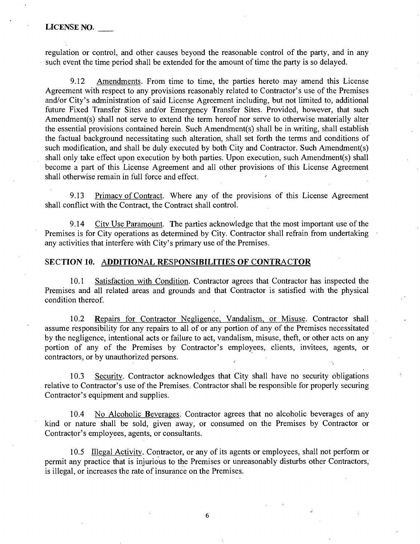regulation or control, and other causes beyond the reasonable control of the party, and in any such event the time period shall be extended for the amount of time the party is so delayed.

*9.12 Amendments. From time to time, the parties hereto may amend this License Agreement with respect to any provisions reasonably related to Contractor's use of the Premises*  and/or City's administration of said License Agreement including, but not limited to, additional *future Fixed Transfer Sites and/or Emergency Transfer Sites. Provided, however, that such Amendment(s) shall not serve to extend the term hereof nor serve to otherwise materially alter the essential provisions contained herein. Such Amendment(s) shall be in writing, shall establish the factual background necessitating such alteration, shall set forth the terms and conditions of such modification, and shall be duly executed by both City and Contractor. Such Amendment(s) shall only take effect upon execution by both parties. Upon execution, such Amendment(s) shall*  become a part of this License Agreement and all other provisions of this License Agreement shall otherwise remain in full force and effect.

9.13 Primacy of Contract. Where any of the provisions of this License Agreement shall conflict with the Contract, the Contract shall control.

9.14 City Use Paramount. The parties acknowledge that the most important use of the Premises is for City operations as determined by City. Contractor shall refrain from undertaking any activities that interfere with City's primary use of the Premises.

#### **SECTION 10. ADDITIONAL RESPONSIBILITIES OF CONTRACTOR**

10.1 Satisfaction with Condition. Contractor agrees that Contractor has inspected the Premises and all related areas and grounds and that Contractor is satisfied with the physical condition thereof.

10.2 Repairs for Contractor Negligence, Vandalism, or Misuse. Contractor shall assume responsibility for any repairs to all of or any portion of any of the Premises necessitated by the negligence, intentional acts or failure to act, vandalism, misuse, theft, or other acts on any portion of any of the Premises by Contractor's employees, clients, invitees, agents, or contractors, or by unauthorized persons.

10.3 Security. Contractor acknowledges that City shall have no security obligations relative to Contractor's use of the Premises. Contractor shall be responsible for properly securing Contractor's equipment and supplies.

10.4 No Alcoholic Beverages. Contractor agrees that no alcoholic beverages of any kind or nature shall be sold, given away, or consumed on the Premises by Contractor or Contractor's employees, agents, or consultants.

10.5 Illegal Activity. Contractor, or any of its agents or employees, shall not perform or permit any practice that is injurious to the Premises or unreasonably disturbs other Contractors, is illegal, or increases the rate of insurance on the Premises.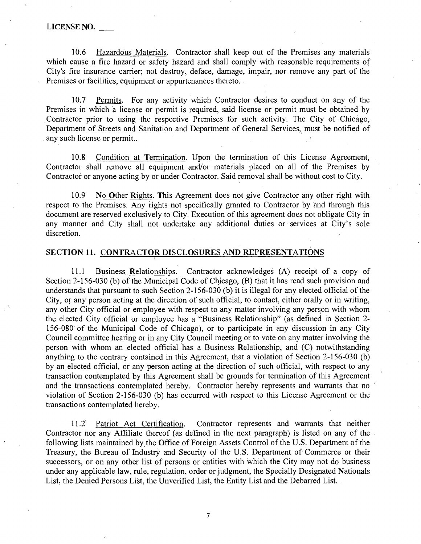10.6 Hazardous Materials. Contractor shall keep out of the Premises any materials which cause a fire hazard or safety hazard and shall comply with reasonable requirements of City's fire insurance carrier; not destroy, deface, damage, impair, nor remove any part of the Premises or facilities, equipment or appurtenances thereto.

10.7 Permits. For any activity which Contractor desires to conduct on any of the Premises in which a license or permit is required, said license or permit must be obtained by Contractor prior to using the respective Premises for such activity. The City of Chicago, Department of Streets and Sanitation and Department of General Services, must be notified of any such license or permit..

10.8 Condition at Termination. Upon the termination of this License Agreement, Contractor shall remove all equipment and/or materials placed on all of the Premises by Contractor or anyone acting by or under Contractor. Said removal shall be without cost to City.

10.9 No Other Rights. This Agreement does not give Contractor any other right with respect to the Premises. Any rights not specifically granted to Contractor by and through this document are reserved exclusively to City. Execution of this agreement does not obligate City in any manner and City shall not undertake any additional duties or services at City's sole discretion.

### **SECTION 11. CONTRACTOR DISCLOSURES AND REPRESENTATIONS**

11.1 Business Relationships. Contractor acknowledges (A) receipt of a copy of Section 2-156-030 (b) of the Municipal Code of Chicago, (B) that it has read such provision and understands that pursuant to such Section 2-156-030 (b) it is illegal for any elected official of the City, or any person acting at the direction of such official, to contact, either orally or in writing, any other City official or employee with respect to any matter involving any person with whom the elected City official or employee has a "Business Relationship" (as defmed in Section 2- 156-080 of the Municipal Code of Chicago), or to participate in any discussion in any City Council committee hearing or in any City Council meeting or to vote on any matter involving the person with whom an elected official has a Business Relationship, and (C) notwithstanding anything to the contrary contained in this Agreement, that a violation of Section 2-156-030 (b) by an elected official, or any person acting at the direction of such official, with respect to any transaction contemplated by this Agreement shall be grounds for termination of this Agreement and the transactions contemplated hereby. Contractor hereby represents and warrants that no violation of Section 2-156-030 (b) has occuned with respect to this License Agreement or the transactions contemplated hereby.

11.2' Patriot Act Certification. Contractor represents and wanants that neither Contractor nor any Affiliate thereof (as defined in the next paragraph) is listed on any of the following lists maintained by the Office of Foreign Assets Control of the U.S. Department of the Treasury, the Bureau of Industry and Security of the U.S. Department of Commerce or their successors, or on any other list of persons or entities with which the City may not do business under any applicable law, mle, regulation, order or judgment, the Specially Designated Nationals List, the Denied Persons List, the Unverified List, the Entity List and the Debaned List.

 $\overline{7}$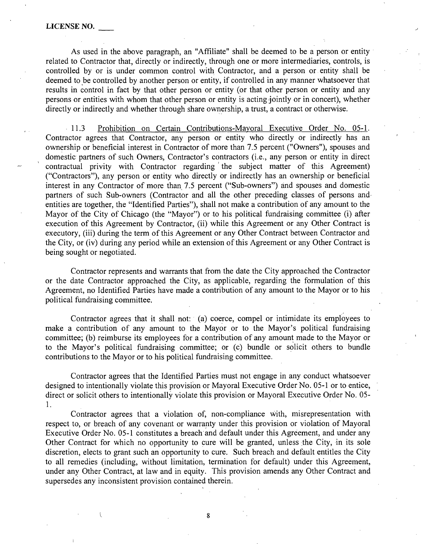As used in the above paragraph, an "Affiliate" shall be deemed to be a person or entity related to Contractor that, directly or indirectly, through one or more intermediaries, controls, is controlled by or is under common control with Contractor, and a person or entity shall be deemed to be controlled by another person or entity, if controlled in any manner whatsoever that results in control in fact by that other person or entity (or that other person or entity and any persons or entities with whom that other person or entity is acting jointly or in concert), whether directly or indirectly and whether through share ownership, a trust, a contract or otherwise.

11.3 Prohibition on Certain Contributions-Mayoral Executive Order No. 05-1. Contractor agrees that Contractor, any person or entity who directly or indirectly has an ownership or beneficial interest in Contractor of more than 7.5 percent ("Owners"), spouses and domestic partners of such Owners, Contractor's contractors (i.e., any person or entity in direct contractual privity with Contractor regarding the subject matter of this Agreement) ("Contractors"), any person or entity who directly or indirectly has an ownership or beneficial interest in any Contractor of more than 7.5 percent ("Sub-owners") and spouses and domestic partners of such Sub-owners (Contractor and all the other preceding classes of persons andentities are together, the "Identified Parties"), shall not make a contribution of any amount to the Mayor of the City of Chicago (the "Mayor") or to his political fundraising committee (i) after execution of this Agreement by Contractor, (ii) while this Agreement or any Other Contract is executory, (iii) during the term of this Agreement or any Other Contract between Contractor and the City, or (iv) during any period while an extension of this Agreement or any Other Contract is being sought or negotiated.

Contractor represents and warrants that from the date the City approached the Contractor or the date Contractor approached the City, as applicable, regarding the formulation of this Agreement, no Identified Parties have made a contribution of any amount to the Mayor or to his political fundraising committee.

Contractor agrees that it shall not: (a) coerce, compel or intimidate its employees to make a contribution of any amount to the Mayor or to the Mayor's political fundraising committee; (b) reimburse its employees for a contribution of any amount made to the Mayor or to the Mayor's political fundraising committee; or (c) bundle or solicit others to bundle contributions to the Mayor or to his political fundraising committee.

Contractor agrees that the Identified Parties must not engage in any conduct whatsoever designed to intentionally violate this provision or Mayoral Executive Order No. 05-1 or to entice, direct or solicit others to intentionally violate this provision or Mayoral Executive Order No. 05- 1.

Contractor agrees that a violation of, non-compliance with, misrepresentation with respect to, or breach of any covenant or warranty under this provision or violation of Mayoral Executive Order No. 05-1 constitutes a breach and default under this Agreement, and under any Other Contract for which no opportunity to cure will be granted, unless the City, in its sole discretion, elects to grant such an opportunity to cure. Such breach and default entitles the City to all remedies (including, without limitation, termination for default) under this Agreement, under any Other Contract, at law and in equity. This provision amends any Other Contract and supersedes any inconsistent provision contained therein.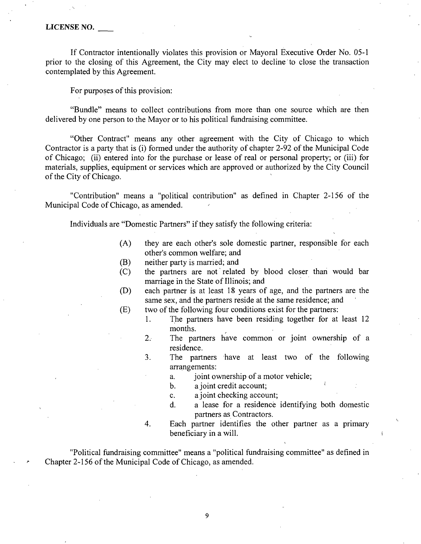If Contractor intentionally violates this provision or Mayoral Executive Order No. 05-1 prior to the closing of this Agreement, the City may elect to decline to close the transaction contemplated by this Agreement.

For purposes of this provision:

"Bundle" means to collect contributions from more than one source which are then delivered by one person to the Mayor or to his political fundraising committee.

"Other Contract" means any other agreement with the City of Chicago to which Contractor is a party that is (i) formed under the authority of chapter 2-92 of the Municipal Code of Chicago; (ii) entered into for the purchase or lease of real or personal property; or (iii) for materials, supplies, equipment or services which are approved or authorized by the City Council of the City of Chicago.

"Contribution" means a "political contribution" as defined in Chapter 2-156 of the Municipal Code of Chicago, as amended.

Individuals are "Domestic Partners" if they satisfy the following criteria:

- (A) they are each other's sole domestic partner, responsible for each other's common welfare; and
- (B) neither party is married; and
- (C) the partners are not related by blood closer than would bar marriage in the State of Illinois; and
- (D) each partner is at least 18 years of age, and the partners are the same sex, and the partners reside at the same residence; and
- (E) two of the following four conditions exist for the partners:
	- 1. The partners have been residing together for at least 12 months.
	- 2. The partners have common or joint ownership of a residence.
	- 3. The partners have at least two of the following arrangements:
		- a. joint ownership of a motor vehicle;
		- b. a joint credit account; ^
		- c. a joint checking account;
		- d. a lease for a residence identifying both domestic partners as Contractors.
	- 4. Each partner identifies the other partner as a primary beneficiary in a will.

"Political fundraising committee" means a "political fundraising committee" as defined in Chapter 2-156 of the Municipal Code of Chicago, as amended.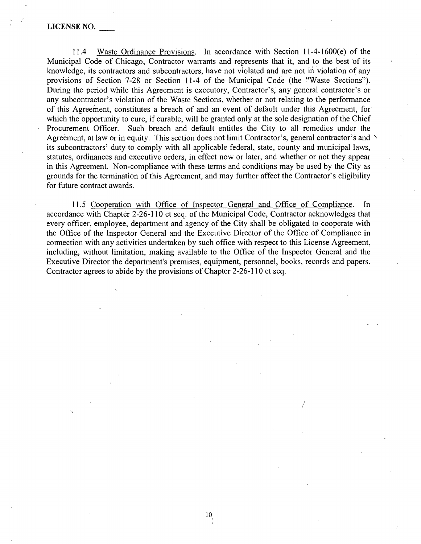11.4 Waste Ordinance Provisions. In accordance with Section 11-4-1600(e) of the Municipal Code of Chicago, Contractor warrants and represents that it, and to the best of its knowledge, its contractors and subcontractors, have not violated and are not in violation of any provisions of Section 7-28 or Section 11-4 of the Municipal Code (the "Waste Sections"). During the period while this Agreement is executory, Contractor's, any general contractor's or any subcontractor's violation of the Waste Sections, whether or not relating to the performance of this Agreement, constitutes a breach of and an event of default under this Agreement, for which the opportunity to cure, if curable, will be granted only at the sole designation of the Chief Procurement Officer. Such breach and default entitles the City to all remedies under the Agreement, at law or in equity. This section does not limit Contractor's, general contractor's and its subcontractors' duty to comply with all applicable federal, state, county and municipal laws, statutes, ordinances and executive orders, in effect now or later, and whether or not they appear in this Agreement. Non-compliance with these terms and conditions may be used by the City as grounds for the termination of this Agreement, and may further affect the Contractor's eligibility for future contract awards.

11.5 Cooperation with Office of Inspector General and Office of Compliance. In accordance with Chapter 2-26-110 et seq. of the Municipal Code, Contractor acknowledges that every officer, employee, department and agency of the City shall be obligated to cooperate with the Office of the Inspector General and the Executive Director of the Office of Compliance in cormection with any activities undertaken by such office with respect to this License Agreement, including, without limitation, making available to the Office of the Inspector General and the Executive Director the department's premises, equipment, personnel, books, records and papers. Contractor agrees to abide by the provisions of Chapter 2-26-110 et seq.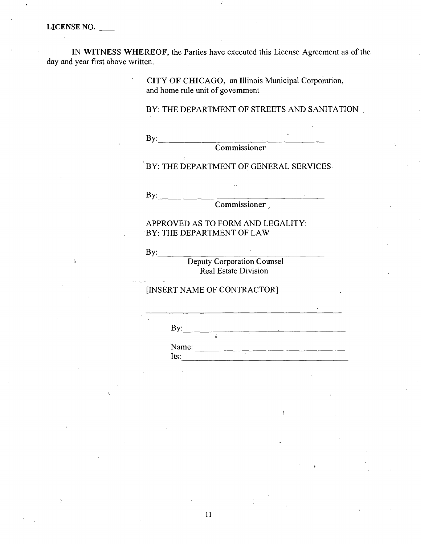IN WITNESS WHEREOF, the Parties have executed this License Agreement as of the day and year first above written.

> CITY OF CHICAGO, an Illinois Municipal Corporation, and home rule unit of govemment

BY: THE DEPARTMENT OF STREETS AND SANITATION

 $By:$ 

**Commissioner** 

'BY: THE DEPARTMENT OF GENERAL SERVICES

By: ^

Commissioner ,

APPROVED AS TO FORM AND LEGALITY: BY: THE DEPARTMENT OF LAW

**By:\_\_\_\_\_\_\_\_\_\_\_\_\_\_\_\_\_\_\_\_\_\_\_\_\_\_\_** 

Deputy Corporation Coumsel Real Estate Division

[INSERT NAME OF CONTRACTOR]

 $\mathbf{B}$ y:

Name: Its: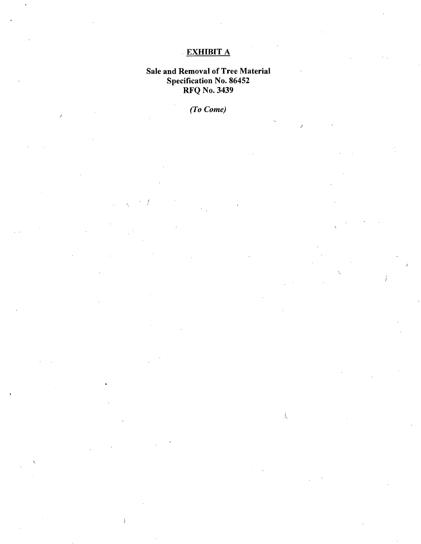## **EXHIBIT A**

## **Sale and Removal of Tree Material Specification No. 86452 RFQ No. 3439**

*(To Come)* 

 $\bar{\mathbf{j}}$ 

 $\overline{1}$ 

 $\langle \mathcal{A}_k \rangle$ 

 $\lambda$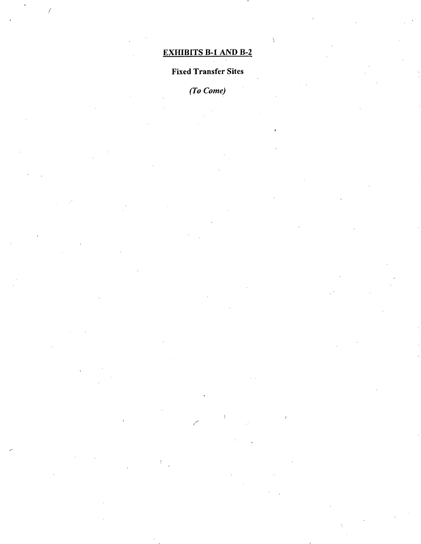## *EXHIBITS B-1 AND B-2*

 $\overline{\phantom{a}}$ 

 $\overline{1}$ 

## *Fixed Transfer Sites*

*(To Come)* 

 $\epsilon$